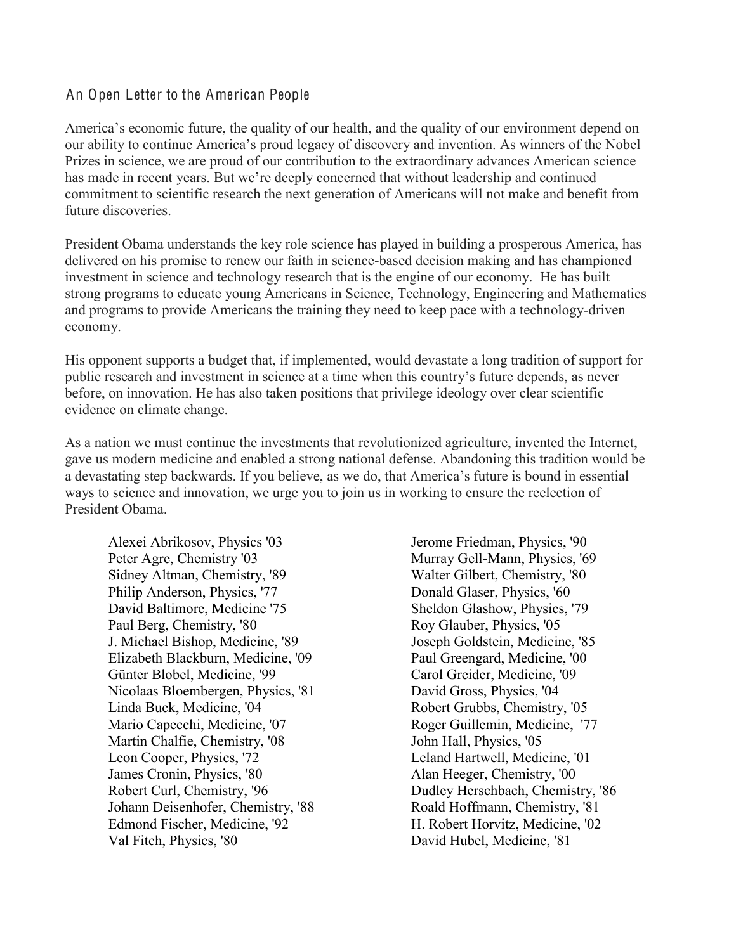## An Open Letter to the American People

America's economic future, the quality of our health, and the quality of our environment depend on our ability to continue America's proud legacy of discovery and invention. As winners of the Nobel Prizes in science, we are proud of our contribution to the extraordinary advances American science has made in recent years. But we're deeply concerned that without leadership and continued commitment to scientific research the next generation of Americans will not make and benefit from future discoveries.

President Obama understands the key role science has played in building a prosperous America, has delivered on his promise to renew our faith in science-based decision making and has championed investment in science and technology research that is the engine of our economy. He has built strong programs to educate young Americans in Science, Technology, Engineering and Mathematics and programs to provide Americans the training they need to keep pace with a technology-driven economy.

His opponent supports a budget that, if implemented, would devastate a long tradition of support for public research and investment in science at a time when this country's future depends, as never before, on innovation. He has also taken positions that privilege ideology over clear scientific evidence on climate change.

As a nation we must continue the investments that revolutionized agriculture, invented the Internet, gave us modern medicine and enabled a strong national defense. Abandoning this tradition would be a devastating step backwards. If you believe, as we do, that America's future is bound in essential ways to science and innovation, we urge you to join us in working to ensure the reelection of President Obama.

Alexei Abrikosov, Physics '03 Peter Agre, Chemistry '03 Sidney Altman, Chemistry, '89 Philip Anderson, Physics, '77 David Baltimore, Medicine '75 Paul Berg, Chemistry, '80 J. Michael Bishop, Medicine, '89 Elizabeth Blackburn, Medicine, '09 Günter Blobel, Medicine, '99 Nicolaas Bloembergen, Physics, '81 Linda Buck, Medicine, '04 Mario Capecchi, Medicine, '07 Martin Chalfie, Chemistry, '08 Leon Cooper, Physics, '72 James Cronin, Physics, '80 Robert Curl, Chemistry, '96 Johann Deisenhofer, Chemistry, '88 Edmond Fischer, Medicine, '92 Val Fitch, Physics, '80

Jerome Friedman, Physics, '90 Murray Gell-Mann, Physics, '69 Walter Gilbert, Chemistry, '80 Donald Glaser, Physics, '60 Sheldon Glashow, Physics, '79 Roy Glauber, Physics, '05 Joseph Goldstein, Medicine, '85 Paul Greengard, Medicine, '00 Carol Greider, Medicine, '09 David Gross, Physics, '04 Robert Grubbs, Chemistry, '05 Roger Guillemin, Medicine, '77 John Hall, Physics, '05 Leland Hartwell, Medicine, '01 Alan Heeger, Chemistry, '00 Dudley Herschbach, Chemistry, '86 Roald Hoffmann, Chemistry, '81 H. Robert Horvitz, Medicine, '02 David Hubel, Medicine, '81